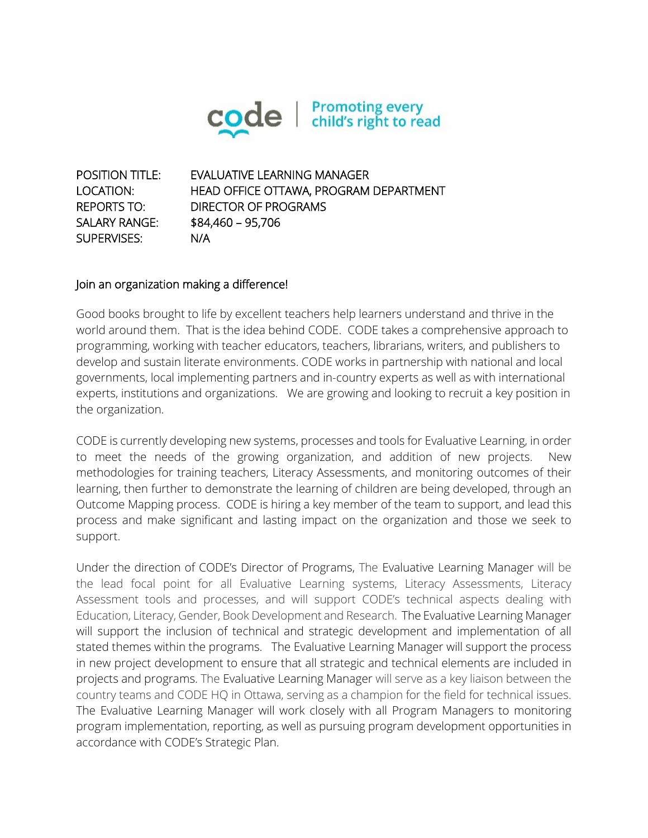

POSITION TITLE: EVALUATIVE LEARNING MANAGER LOCATION: HEAD OFFICE OTTAWA, PROGRAM DEPARTMENT REPORTS TO: DIRECTOR OF PROGRAMS SALARY RANGE: \$84,460 – 95,706 SUPERVISES: N/A

#### Join an organization making a difference!

Good books brought to life by excellent teachers help learners understand and thrive in the world around them. That is the idea behind CODE. CODE takes a comprehensive approach to programming, working with teacher educators, teachers, librarians, writers, and publishers to develop and sustain literate environments. CODE works in partnership with national and local governments, local implementing partners and in-country experts as well as with international experts, institutions and organizations. We are growing and looking to recruit a key position in the organization.

CODE is currently developing new systems, processes and tools for Evaluative Learning, in order to meet the needs of the growing organization, and addition of new projects. New methodologies for training teachers, Literacy Assessments, and monitoring outcomes of their learning, then further to demonstrate the learning of children are being developed, through an Outcome Mapping process. CODE is hiring a key member of the team to support, and lead this process and make significant and lasting impact on the organization and those we seek to support.

Under the direction of CODE's Director of Programs, The Evaluative Learning Manager will be the lead focal point for all Evaluative Learning systems, Literacy Assessments, Literacy Assessment tools and processes, and will support CODE's technical aspects dealing with Education, Literacy, Gender, Book Development and Research. The Evaluative Learning Manager will support the inclusion of technical and strategic development and implementation of all stated themes within the programs. The Evaluative Learning Manager will support the process in new project development to ensure that all strategic and technical elements are included in projects and programs. The Evaluative Learning Manager will serve as a key liaison between the country teams and CODE HQ in Ottawa, serving as a champion for the field for technical issues. The Evaluative Learning Manager will work closely with all Program Managers to monitoring program implementation, reporting, as well as pursuing program development opportunities in accordance with CODE's Strategic Plan.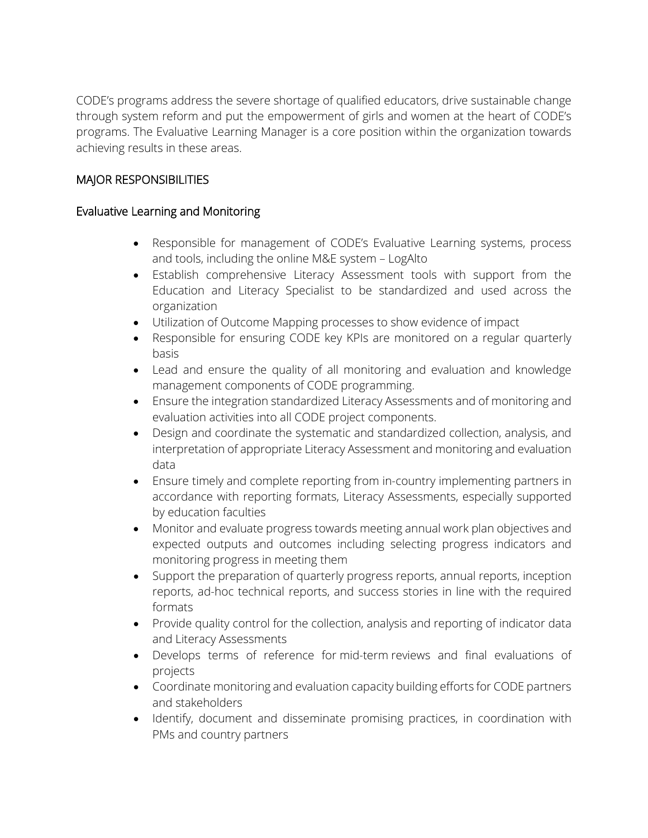CODE's programs address the severe shortage of qualified educators, drive sustainable change through system reform and put the empowerment of girls and women at the heart of CODE's programs. The Evaluative Learning Manager is a core position within the organization towards achieving results in these areas.

# MAJOR RESPONSIBILITIES

# Evaluative Learning and Monitoring

- Responsible for management of CODE's Evaluative Learning systems, process and tools, including the online M&E system – LogAlto
- Establish comprehensive Literacy Assessment tools with support from the Education and Literacy Specialist to be standardized and used across the organization
- Utilization of Outcome Mapping processes to show evidence of impact
- Responsible for ensuring CODE key KPIs are monitored on a regular quarterly basis
- Lead and ensure the quality of all monitoring and evaluation and knowledge management components of CODE programming.
- Ensure the integration standardized Literacy Assessments and of monitoring and evaluation activities into all CODE project components.
- Design and coordinate the systematic and standardized collection, analysis, and interpretation of appropriate Literacy Assessment and monitoring and evaluation data
- Ensure timely and complete reporting from in-country implementing partners in accordance with reporting formats, Literacy Assessments, especially supported by education faculties
- Monitor and evaluate progress towards meeting annual work plan objectives and expected outputs and outcomes including selecting progress indicators and monitoring progress in meeting them
- Support the preparation of quarterly progress reports, annual reports, inception reports, ad-hoc technical reports, and success stories in line with the required formats
- Provide quality control for the collection, analysis and reporting of indicator data and Literacy Assessments
- Develops terms of reference for mid-term reviews and final evaluations of projects
- Coordinate monitoring and evaluation capacity building efforts for CODE partners and stakeholders
- Identify, document and disseminate promising practices, in coordination with PMs and country partners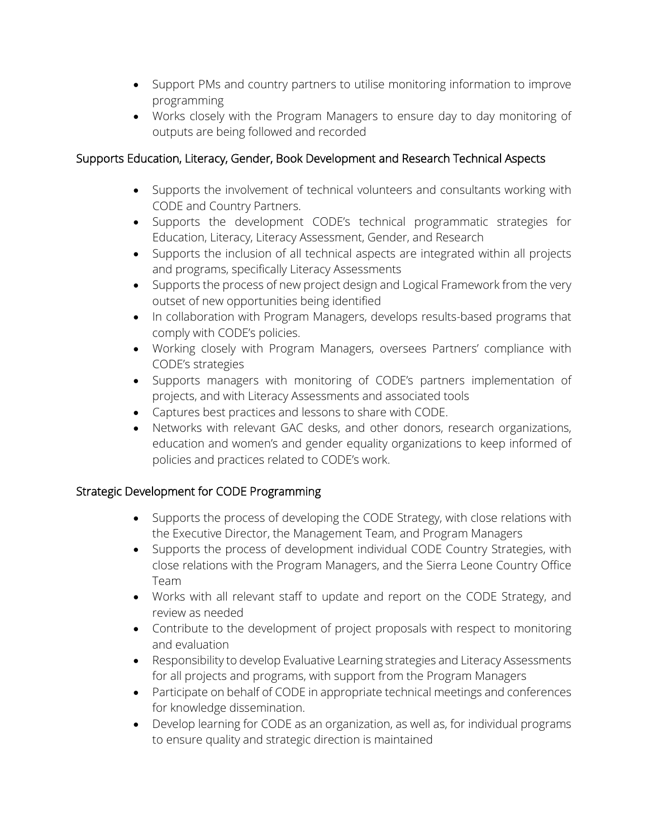- Support PMs and country partners to utilise monitoring information to improve programming
- Works closely with the Program Managers to ensure day to day monitoring of outputs are being followed and recorded

# Supports Education, Literacy, Gender, Book Development and Research Technical Aspects

- Supports the involvement of technical volunteers and consultants working with CODE and Country Partners.
- Supports the development CODE's technical programmatic strategies for Education, Literacy, Literacy Assessment, Gender, and Research
- Supports the inclusion of all technical aspects are integrated within all projects and programs, specifically Literacy Assessments
- Supports the process of new project design and Logical Framework from the very outset of new opportunities being identified
- In collaboration with Program Managers, develops results-based programs that comply with CODE's policies.
- Working closely with Program Managers, oversees Partners' compliance with CODE's strategies
- Supports managers with monitoring of CODE's partners implementation of projects, and with Literacy Assessments and associated tools
- Captures best practices and lessons to share with CODE.
- Networks with relevant GAC desks, and other donors, research organizations, education and women's and gender equality organizations to keep informed of policies and practices related to CODE's work.

# Strategic Development for CODE Programming

- Supports the process of developing the CODE Strategy, with close relations with the Executive Director, the Management Team, and Program Managers
- Supports the process of development individual CODE Country Strategies, with close relations with the Program Managers, and the Sierra Leone Country Office Team
- Works with all relevant staff to update and report on the CODE Strategy, and review as needed
- Contribute to the development of project proposals with respect to monitoring and evaluation
- Responsibility to develop Evaluative Learning strategies and Literacy Assessments for all projects and programs, with support from the Program Managers
- Participate on behalf of CODE in appropriate technical meetings and conferences for knowledge dissemination.
- Develop learning for CODE as an organization, as well as, for individual programs to ensure quality and strategic direction is maintained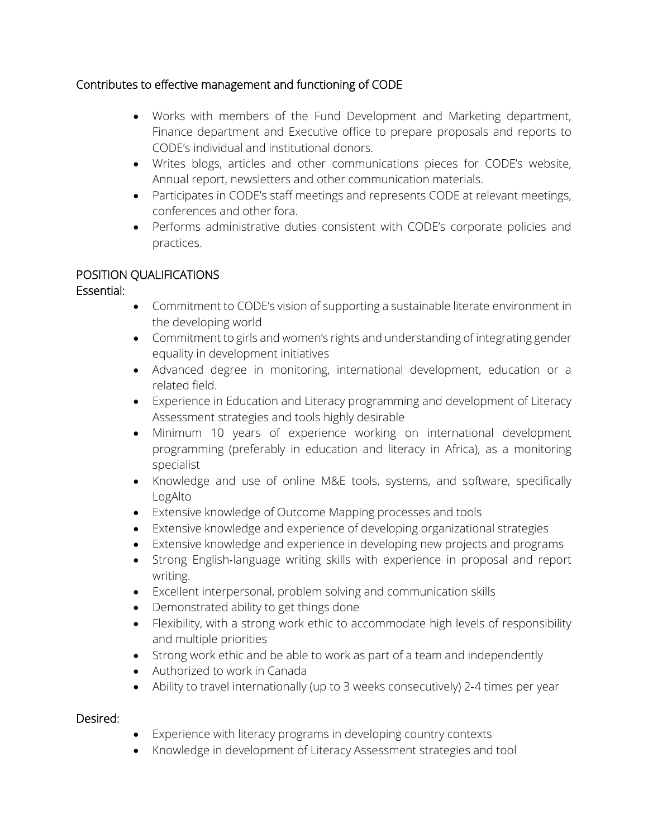# Contributes to effective management and functioning of CODE

- Works with members of the Fund Development and Marketing department, Finance department and Executive office to prepare proposals and reports to CODE's individual and institutional donors.
- Writes blogs, articles and other communications pieces for CODE's website, Annual report, newsletters and other communication materials.
- Participates in CODE's staff meetings and represents CODE at relevant meetings, conferences and other fora.
- Performs administrative duties consistent with CODE's corporate policies and practices.

# POSITION QUALIFICATIONS

# Essential:

- Commitment to CODE's vision of supporting a sustainable literate environment in the developing world
- Commitment to girls and women's rights and understanding of integrating gender equality in development initiatives
- Advanced degree in monitoring, international development, education or a related field.
- Experience in Education and Literacy programming and development of Literacy Assessment strategies and tools highly desirable
- Minimum 10 years of experience working on international development programming (preferably in education and literacy in Africa), as a monitoring specialist
- Knowledge and use of online M&E tools, systems, and software, specifically LogAlto
- Extensive knowledge of Outcome Mapping processes and tools
- Extensive knowledge and experience of developing organizational strategies
- Extensive knowledge and experience in developing new projects and programs
- Strong English-language writing skills with experience in proposal and report writing.
- Excellent interpersonal, problem solving and communication skills
- Demonstrated ability to get things done
- Flexibility, with a strong work ethic to accommodate high levels of responsibility and multiple priorities
- Strong work ethic and be able to work as part of a team and independently
- Authorized to work in Canada
- Ability to travel internationally (up to 3 weeks consecutively) 2‐4 times per year

# Desired:

- Experience with literacy programs in developing country contexts
- Knowledge in development of Literacy Assessment strategies and tool